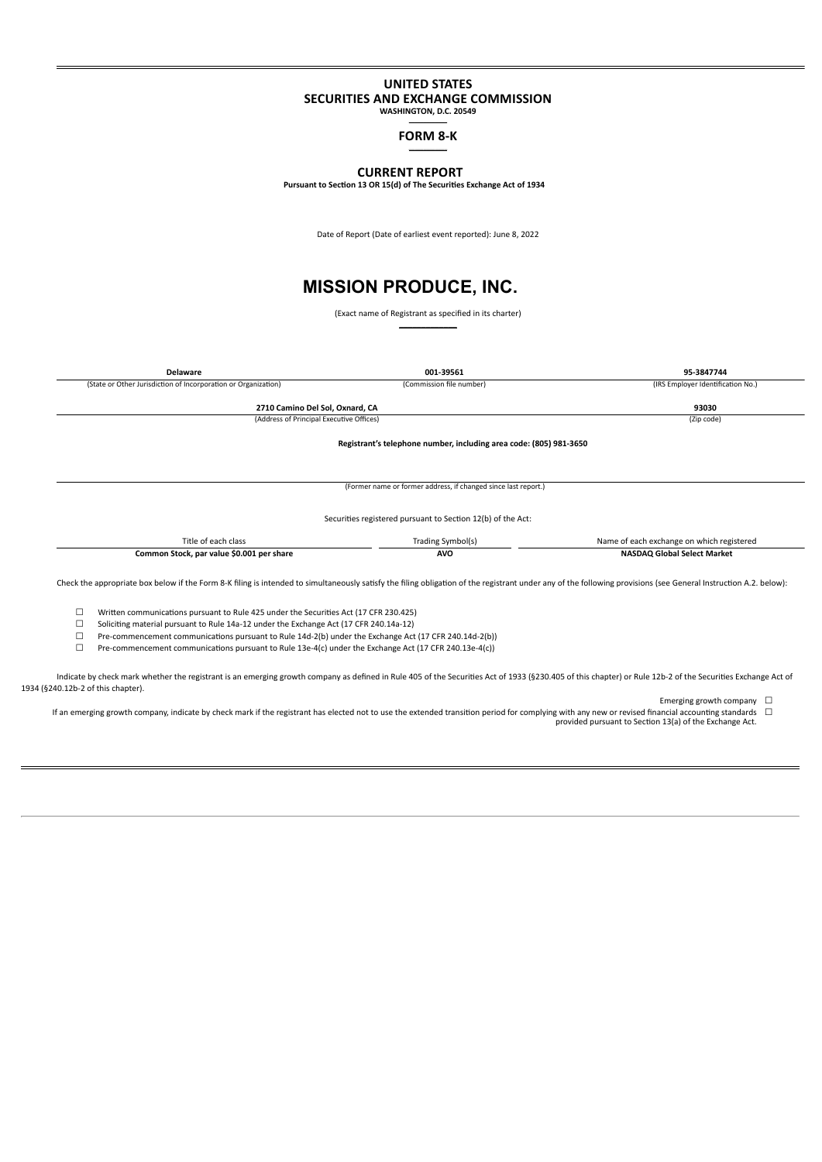### **UNITED STATES SECURITIES AND EXCHANGE COMMISSION**

**WASHINGTON, D.C. 20549**  $\overline{\phantom{a}}$ 

> **FORM 8-K**  $\overline{\phantom{a}}$

# **CURRENT REPORT**

**Pursuant to Section 13 OR 15(d) of The Securities Exchange Act of 1934**

Date of Report (Date of earliest event reported): June 8, 2022

# **MISSION PRODUCE, INC.**

(Exact name of Registrant as specified in its charter)  $\mathcal{L}=\mathcal{L}$ 

| <b>Delaware</b>                                                                                                                                                                                                                                                                                                                                                                                                                                                                                                                                                                                                                   | 001-39561                                                          | 95-3847744                                |
|-----------------------------------------------------------------------------------------------------------------------------------------------------------------------------------------------------------------------------------------------------------------------------------------------------------------------------------------------------------------------------------------------------------------------------------------------------------------------------------------------------------------------------------------------------------------------------------------------------------------------------------|--------------------------------------------------------------------|-------------------------------------------|
| (State or Other Jurisdiction of Incorporation or Organization)                                                                                                                                                                                                                                                                                                                                                                                                                                                                                                                                                                    | (Commission file number)                                           | (IRS Employer Identification No.)         |
|                                                                                                                                                                                                                                                                                                                                                                                                                                                                                                                                                                                                                                   |                                                                    |                                           |
| 2710 Camino Del Sol, Oxnard, CA                                                                                                                                                                                                                                                                                                                                                                                                                                                                                                                                                                                                   |                                                                    | 93030                                     |
| (Address of Principal Executive Offices)                                                                                                                                                                                                                                                                                                                                                                                                                                                                                                                                                                                          |                                                                    | (Zip code)                                |
|                                                                                                                                                                                                                                                                                                                                                                                                                                                                                                                                                                                                                                   | Registrant's telephone number, including area code: (805) 981-3650 |                                           |
|                                                                                                                                                                                                                                                                                                                                                                                                                                                                                                                                                                                                                                   | (Former name or former address, if changed since last report.)     |                                           |
|                                                                                                                                                                                                                                                                                                                                                                                                                                                                                                                                                                                                                                   | Securities registered pursuant to Section 12(b) of the Act:        |                                           |
| Title of each class                                                                                                                                                                                                                                                                                                                                                                                                                                                                                                                                                                                                               | Trading Symbol(s)                                                  | Name of each exchange on which registered |
| Common Stock, par value \$0.001 per share                                                                                                                                                                                                                                                                                                                                                                                                                                                                                                                                                                                         | <b>AVO</b>                                                         | <b>NASDAQ Global Select Market</b>        |
| Check the appropriate box below if the Form 8-K filing is intended to simultaneously satisfy the filing obligation of the registrant under any of the following provisions (see General Instruction A.2. below):<br>□<br>Written communications pursuant to Rule 425 under the Securities Act (17 CFR 230.425)<br>Soliciting material pursuant to Rule 14a-12 under the Exchange Act (17 CFR 240.14a-12)<br>Pre-commencement communications pursuant to Rule 14d-2(b) under the Exchange Act (17 CFR 240.14d-2(b))<br>П<br>Pre-commencement communications pursuant to Rule 13e-4(c) under the Exchange Act (17 CFR 240.13e-4(c)) |                                                                    |                                           |

Indicate by check mark whether the registrant is an emerging growth company as defined in Rule 405 of the Securities Act of 1933 (§230.405 of this chapter) or Rule 12b-2 of the Securities Exchange Act of 1934 (§240.12b-2 of this chapter).

Emerging growth company  $\Box$ 

⊑ If an emerging growth company, indicate by check mark if the registrant has elected not to use the extended transition period for complying with any new or revised financial accounting standards □<br>provided pursuant to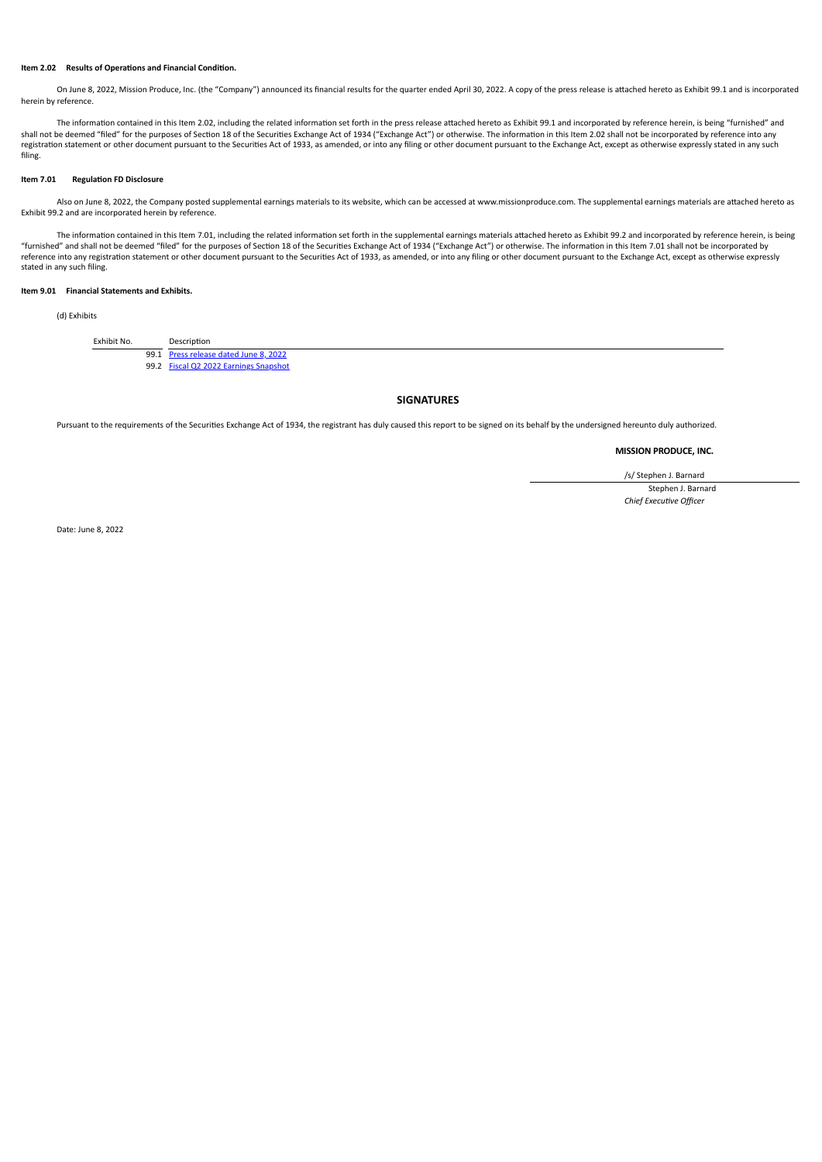#### **Item 2.02 Results of Operations and Financial Condition.**

On June 8, 2022, Mission Produce, Inc. (the "Company") announced its financial results for the quarter ended April 30, 2022. A copy of the press release is attached hereto as Exhibit 99.1 and is incorporated herein by reference.

The information contained in this Item 2.02, including the related information set forth in the press release attached hereto as Exhibit 99.1 and incorporated by reference herein, is being "furnished" and shall not be deemed "filed" for the purposes of Section 18 of the Securities Exchange Act of 1934 ("Exchange Act") or otherwise. The information in this Item 2.02 shall not be incorporated by reference into any<br>registratio filing.

#### **Item 7.01 Regulation FD Disclosure**

Also on June 8, 2022, the Company posted supplemental earnings materials to its website, which can be accessed at www.missionproduce.com. The supplemental earnings materials are attached hereto as Exhibit 99.2 and are incorporated herein by reference.

The information contained in this Item 7.01, including the related information set forth in the supplemental earnings materials attached hereto as Exhibit 99.2 and incorporated by reference herein, is being<br>"furnished" and reference into any registration statement or other document pursuant to the Securities Act of 1933, as amended, or into any filing or other document pursuant to the Exchange Act, except as otherwise expressly stated in any such filing.

### **Item 9.01 Financial Statements and Exhibits.**

(d) Exhibits

Exhibit No. Description

99.1 [Press release dated June 8, 2022](#page-2-0)

99.2 [Fiscal Q2 2022 Earnings Snapshot](#page-11-0)

### **SIGNATURES**

Pursuant to the requirements of the Securities Exchange Act of 1934, the registrant has duly caused this report to be signed on its behalf by the undersigned hereunto duly authorized.

#### **MISSION PRODUCE, INC.**

/s/ Stephen J. Barnard Stephen J. Barnard *Chief Executive Officer*

Date: June 8, 2022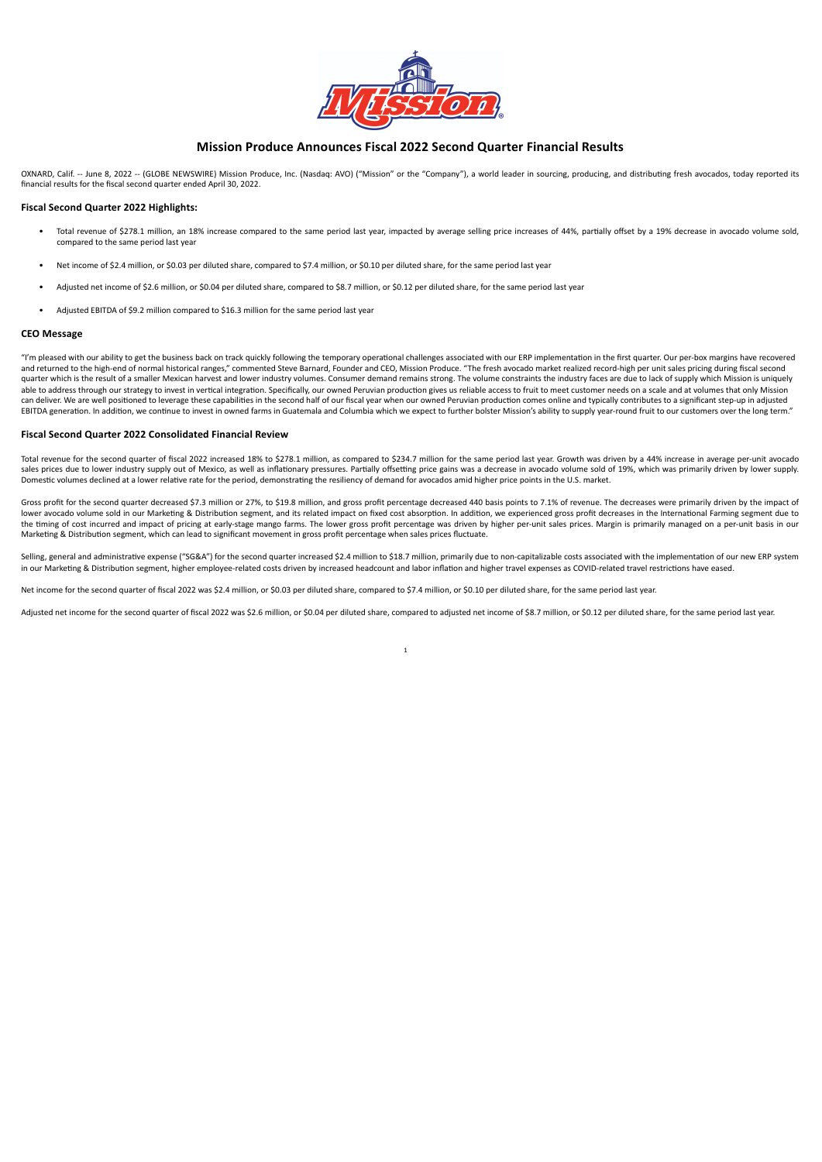

### **Mission Produce Announces Fiscal 2022 Second Quarter Financial Results**

<span id="page-2-0"></span>OXNARD, Calif. -- June 8, 2022 -- (GLOBE NEWSWIRE) Mission Produce, Inc. (Nasdaq: AVO) ("Mission" or the "Company"), a world leader in sourcing, producing, and distributing fresh avocados, today reported its financial results for the fiscal second quarter ended April 30, 2022.

#### **Fiscal Second Quarter 2022 Highlights:**

- Total revenue of \$278.1 million, an 18% increase compared to the same period last year, impacted by average selling price increases of 44%, partially offset by a 19% decrease in avocado volume sold, compared to the same period last year
- Net income of \$2.4 million, or \$0.03 per diluted share, compared to \$7.4 million, or \$0.10 per diluted share, for the same period last year
- Adjusted net income of \$2.6 million, or \$0.04 per diluted share, compared to \$8.7 million, or \$0.12 per diluted share, for the same period last year
- Adjusted EBITDA of \$9.2 million compared to \$16.3 million for the same period last year

### **CEO Message**

"I'm pleased with our ability to get the business back on track quickly following the temporary operational challenges associated with our ERP implementation in the first quarter. Our per-box margins have recovered and returned to the high-end of normal historical ranges," commented Steve Barnard, Founder and CEO, Mission Produce. "The fresh avocado market realized record-high per unit sales pricing during fiscal second quarter which is the result of a smaller Mexican harvest and lower industry volumes. Consumer demand remains strong. The volume constraints the industry faces are due to lack of supply which Mission is uniquely able to address through our strategy to invest in vertical integration. Specifically, our owned Peruvian production gives us reliable access to fruit to meet customer needs on a scale and at volumes that only Mission can deliver. We are well positioned to leverage these capabilities in the second half of our fiscal year when our owned Peruvian production comes online and typically contributes to a significant step-up in adjusted EBITDA generation. In addition, we continue to invest in owned farms in Guatemala and Columbia which we expect to further bolster Mission's ability to supply year-round fruit to our customers over the long term."

#### **Fiscal Second Quarter 2022 Consolidated Financial Review**

Total revenue for the second quarter of fiscal 2022 increased 18% to \$278.1 million, as compared to \$234.7 million for the same period last year. Growth was driven by a 44% increase in average per-unit avocado sales prices due to lower industry supply out of Mexico, as well as inflationary pressures. Partially offsetting price gains was a decrease in avocado volume sold of 19%, which was primarily driven by lower supply. Domestic volumes declined at a lower relative rate for the period, demonstrating the resiliency of demand for avocados amid higher price points in the U.S. market.

Gross profit for the second quarter decreased \$7.3 million or 27%, to \$19.8 million, and gross profit percentage decreased 440 basis points to 7.1% of revenue. The decreases were primarily driven by the impact of lower avocado volume sold in our Marketing & Distribution segment, and its related impact on fixed cost absorption. In addition, we experienced gross profit decreases in the International Farming segment due to the timing of cost incurred and impact of pricing at early-stage mango farms. The lower gross profit percentage was driven by higher per-unit sales prices. Margin is primarily managed on a per-unit basis in our Marketing & Distribution segment, which can lead to significant movement in gross profit percentage when sales prices fluctuate.

Selling, general and administrative expense ("SG&A") for the second quarter increased \$2.4 million to \$18.7 million, primarily due to non-capitalizable costs associated with the implementation of our new ERP system in our Marketing & Distribution segment, higher employee-related costs driven by increased headcount and labor inflation and higher travel expenses as COVID-related travel restrictions have eased.

Net income for the second quarter of fiscal 2022 was \$2.4 million, or \$0.03 per diluted share, compared to \$7.4 million, or \$0.10 per diluted share, for the same period last year.

Adjusted net income for the second quarter of fiscal 2022 was \$2.6 million, or \$0.04 per diluted share, compared to adjusted net income of \$8.7 million, or \$0.12 per diluted share, for the same period last year.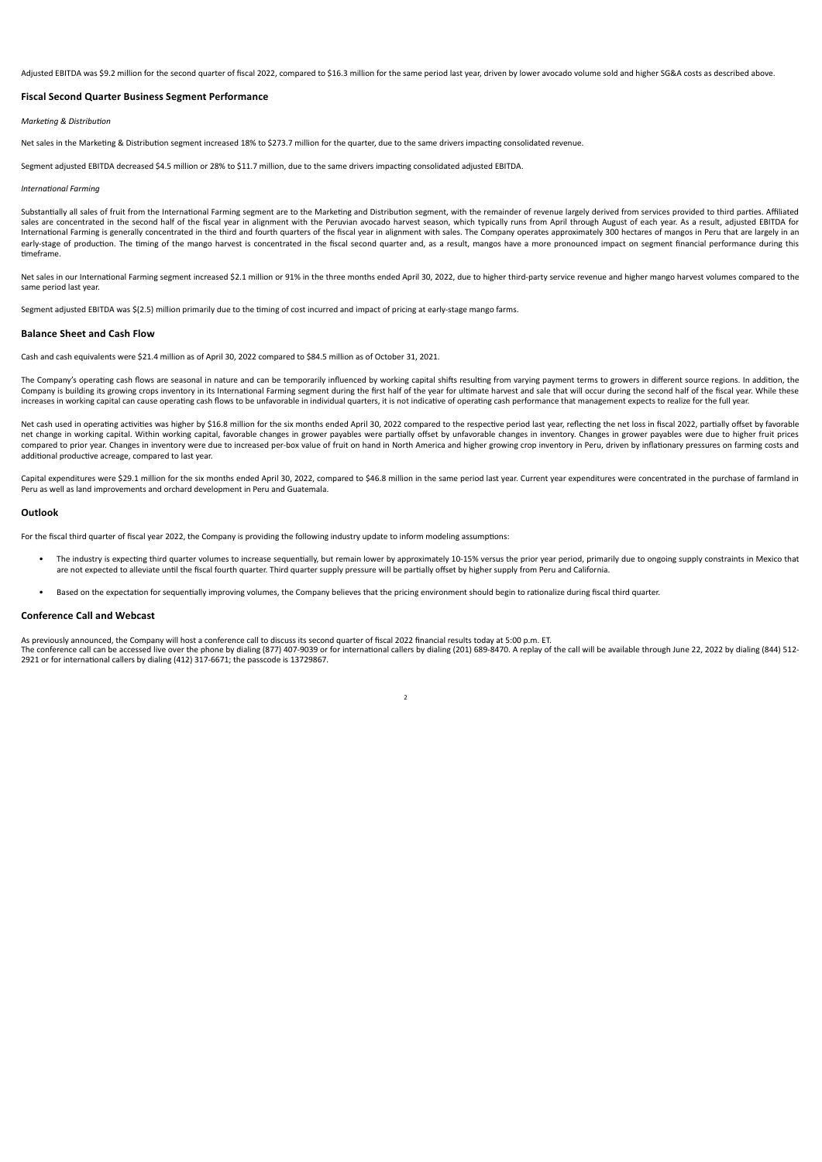Adjusted EBITDA was \$9.2 million for the second quarter of fiscal 2022, compared to \$16.3 million for the same period last year, driven by lower avocado volume sold and higher SG&A costs as described above.

### **Fiscal Second Quarter Business Segment Performance**

#### *Marketing & Distribution*

Net sales in the Marketing & Distribution segment increased 18% to \$273.7 million for the quarter, due to the same drivers impacting consolidated revenue.

Segment adjusted EBITDA decreased \$4.5 million or 28% to \$11.7 million, due to the same drivers impacting consolidated adjusted EBITDA.

#### *International Farming*

Substantially all sales of fruit from the International Farming segment are to the Marketing and Distribution segment, with the remainder of revenue largely derived from services provided to third parties. Affiliated sales are concentrated in the second half of the fiscal year in alignment with the Peruvian avocado harvest season, which typically runs from April through August of each year. As a result, adjusted EBITDA for International Farming is generally concentrated in the third and fourth quarters of the fiscal year in alignment with sales. The Company operates approximately 300 hectares of mangos in Peru that are largely in an internat early-stage of production. The timing of the mango harvest is concentrated in the fiscal second quarter and, as a result, mangos have a more pronounced impact on segment financial performance during this timeframe.

Net sales in our International Farming segment increased \$2.1 million or 91% in the three months ended April 30, 2022, due to higher third-party service revenue and higher mango harvest volumes compared to the same period last year.

Segment adjusted EBITDA was \$(2.5) million primarily due to the timing of cost incurred and impact of pricing at early-stage mango farms.

#### **Balance Sheet and Cash Flow**

Cash and cash equivalents were \$21.4 million as of April 30, 2022 compared to \$84.5 million as of October 31, 2021.

The Company's operating cash flows are seasonal in nature and can be temporarily influenced by working capital shifts resulting from varying payment terms to growers in different source regions. In addition, the Company is building its growing crops inventory in its International Farming segment during the first half of the year for ultimate harvest and sale that will occur during the second half of the fiscal year. While these increases in working capital can cause operating cash flows to be unfavorable in individual quarters, it is not indicative of operating cash performance that management expects to realize for the full year.

Net cash used in operating activities was higher by \$16.8 million for the six months ended April 30, 2022 compared to the respective period last year, reflecting the net loss in fiscal 2022, partially offset by favorable net change in working capital. Within working capital, favorable changes in grower payables were partially offset by unfavorable changes in inventory. Changes in grower payables were due to higher fruit prices compared to prior year. Changes in inventory were due to increased per-box value of fruit on hand in North America and higher growing crop inventory in Peru, driven by inflationary pressures on farming costs and additional productive acreage, compared to last year.

Capital expenditures were \$29.1 million for the six months ended April 30, 2022, compared to \$46.8 million in the same period last year. Current year expenditures were concentrated in the purchase of farmland in Peru as well as land improvements and orchard development in Peru and Guatemala.

#### **Outlook**

For the fiscal third quarter of fiscal year 2022, the Company is providing the following industry update to inform modeling assumptions:

- The industry is expecting third quarter volumes to increase sequentially, but remain lower by approximately 10-15% versus the prior year period, primarily due to ongoing supply constraints in Mexico that are not expected to alleviate until the fiscal fourth quarter. Third quarter supply pressure will be partially offset by higher supply from Peru and California.
- Based on the expectation for sequentially improving volumes, the Company believes that the pricing environment should begin to rationalize during fiscal third quarter.

### **Conference Call and Webcast**

As previously announced, the Company will host a conference call to discuss its second quarter of fiscal 2022 financial results today at 5:00 p.m. ET. The conference call can be accessed live over the phone by dialing (877) 407-9039 or for international callers by dialing (201) 689-8470. A replay of the call will be available through June 22, 2022 by dialing (844) 512- 2921 or for international callers by dialing (412) 317-6671; the passcode is 13729867.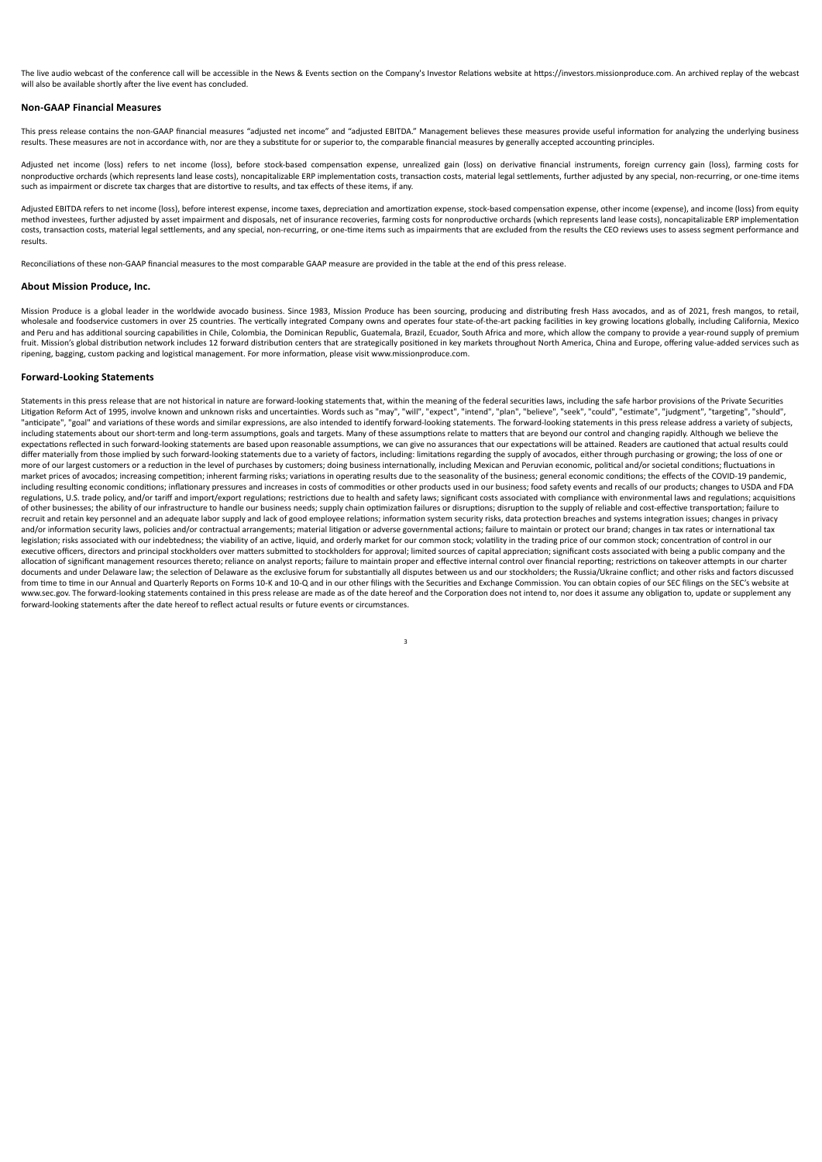The live audio webcast of the conference call will be accessible in the News & Events section on the Company's Investor Relations website at https://investors.missionproduce.com. An archived replay of the webcast will also be available shortly after the live event has concluded.

#### **Non-GAAP Financial Measures**

This press release contains the non-GAAP financial measures "adjusted net income" and "adjusted EBITDA." Management believes these measures provide useful information for analyzing the underlying business results. These measures are not in accordance with, nor are they a substitute for or superior to, the comparable financial measures by generally accepted accounting principles

Adjusted net income (loss) refers to net income (loss), before stock-based compensation expense, unrealized gain (loss) on derivative financial instruments, foreign currency gain (loss), farming costs for nonproductive orchards (which represents land lease costs), noncapitalizable ERP implementation costs, transaction costs, material legal settlements, further adjusted by any special, non-recurring, or one-time items such as impairment or discrete tax charges that are distortive to results, and tax effects of these items, if any.

Adjusted EBITDA refers to net income (loss), before interest expense, income taxes, depreciation and amortization expense, stock-based compensation expense, other income (expense), and income (loss) from equity method investees, further adjusted by asset impairment and disposals, net of insurance recoveries, farming costs for nonproductive orchards (which represents land lease costs), noncapitalizable ERP implementation costs, transaction costs, material legal settlements, and any special, non-recurring, or one-time items such as impairments that are excluded from the results the CEO reviews uses to assess segment performance and results.

Reconciliations of these non-GAAP financial measures to the most comparable GAAP measure are provided in the table at the end of this press release.

### **About Mission Produce, Inc.**

Mission Produce is a global leader in the worldwide avocado business. Since 1983, Mission Produce has been sourcing, producing and distributing fresh Hass avocados, and as of 2021, fresh mangos, to retail, wholesale and foodservice customers in over 25 countries. The vertically integrated Company owns and operates four state-of-the-art packing facilities in key growing locations globally, including California, Mexico and Peru and has additional sourcing capabilities in Chile, Colombia, the Dominican Republic, Guatemala, Brazil, Ecuador, South Africa and more, which allow the company to provide a year-round supply of premium fruit. Mission's global distribution network includes 12 forward distribution centers that are strategically positioned in key markets throughout North America, China and Europe, offering value-added services such as ripening, bagging, custom packing and logistical management. For more information, please visit www.missionproduce.com.

#### **Forward-Looking Statements**

Statements in this press release that are not historical in nature are forward-looking statements that, within the meaning of the federal securities laws, including the safe harbor provisions of the Private Securities Litigation Reform Act of 1995, involve known and unknown risks and uncertainties. Words such as "may", "will", "expect", "intend", "plan", "balene", "beek", "could", "setmate", "judgment", "targeting", "should",<br>"anticipat including statements about our short-term and long-term assumptions, goals and targets. Many of these assumptions relate to matters that are beyond our control and changing rapidly. Although we believe the expectations reflected in such forward-looking statements are based upon reasonable assumptions, we can give no assurances that our expectations will be attained. Readers are cautioned that actual results could differ materially from those implied by such forward-looking statements due to a variety of factors, including: limitations regarding the supply of avocados, either through purchasing or growing; the loss of one or more of our largest customers or a reduction in the level of purchases by customers; doing business internationally, including Mexican and Peruvian economic, political and/or societal conditions; fluctuations in market prices of avocados; increasing competition; inherent farming risks; variations in operating results due to the seasonality of the business; general economic conditions; the effects of the COVID-19 pandemic, including resulting economic conditions; inflationary pressures and increases in costs of commodities or other products used in our business; food safety events and recalls of our products; changes to USDA and FDA regulations, U.S. trade policy, and/or tariff and import/export regulations; restrictions due to health and safety laws; significant costs associated with compliance with environmental laws and regulations; acquisitions<br>of recruit and retain key personnel and an adequate labor supply and lack of good employee relations; information system security risks, data protection breaches and systems integration issues; changes in privacy and/or information security laws, policies and/or contractual arrangements; material litigation or adverse governmental actions; failure to maintain or protect our brand; changes in tax rates or international tax legislation; risks associated with our indebtedness; the viability of an active, liquid, and orderly market for our common stock; volatility in the trading price of our common stock; concentration of control in our executive officers, directors and principal stockholders over matters submitted to stockholders for approval; limited sources of capital appreciation; significant costs associated with being a public company and the execut allocation of significant management resources thereto; reliance on analyst reports; failure to maintain proper and effective internal control over financial reporting; restrictions on takeover attempts in our charter documents and under Delaware law; the selection of Delaware as the exclusive forum for substantially all disputes between us and our stockholders; the Russia/Ukraine conflict; and other risks and factors discussed from time to time in our Annual and Quarterly Reports on Forms 10-K and 10-Q and in our other filings with the Securities and Exchange Commission. You can obtain copies of our SEC filings on the SEC's website at www.sec.gov. The forward-looking statements contained in this press release are made as of the date hereof and the Corporation does not intend to, nor does it assume any obligation to, update or supplement any forward-looking statements after the date hereof to reflect actual results or future events or circumstances.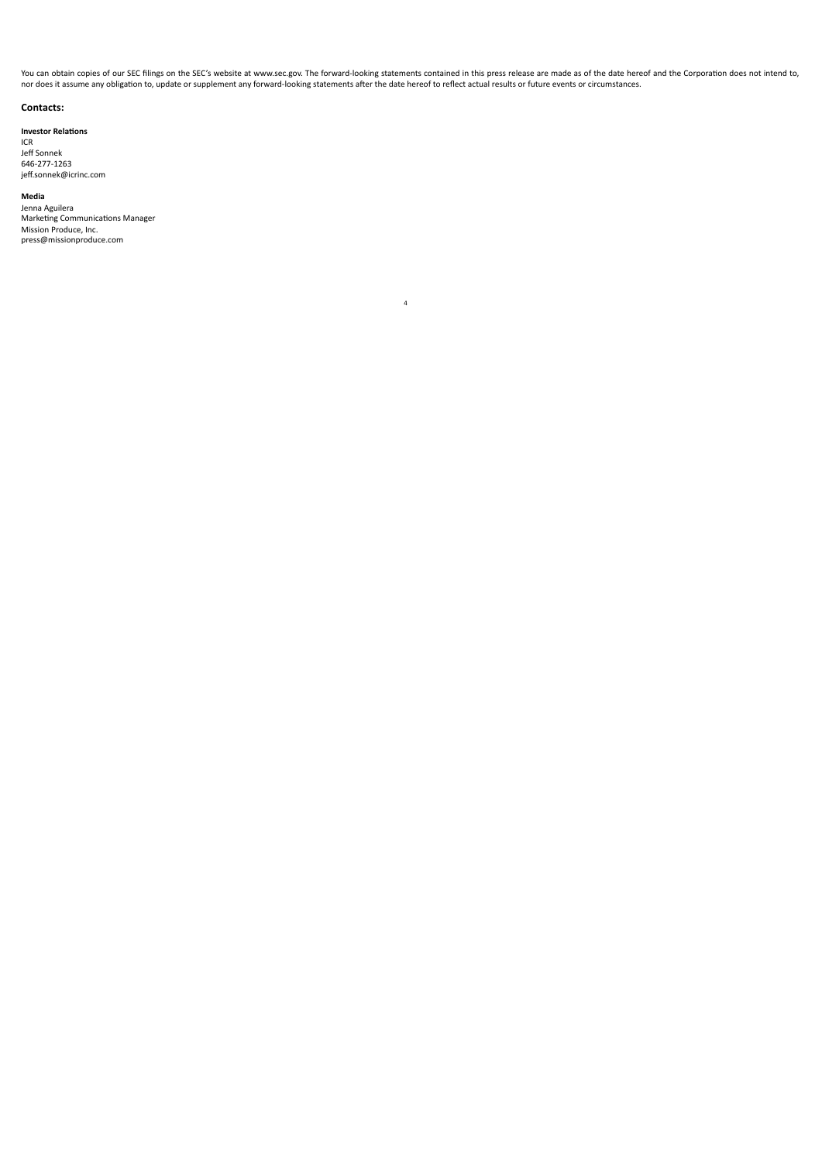You can obtain copies of our SEC filings on the SEC's website at www.sec.gov. The forward-looking statements contained in this press release are made as of the date hereof and the Corporation does not intend to,<br>nor does i

4

### **Contacts:**

**Investor Relations**

ICR Jeff Sonnek 646-277-1263 jeff.sonnek@icrinc.com

### **Media**

Jenna Aguilera<br>Marketing Communications Manager Mission Produce, Inc. press@missionproduce.com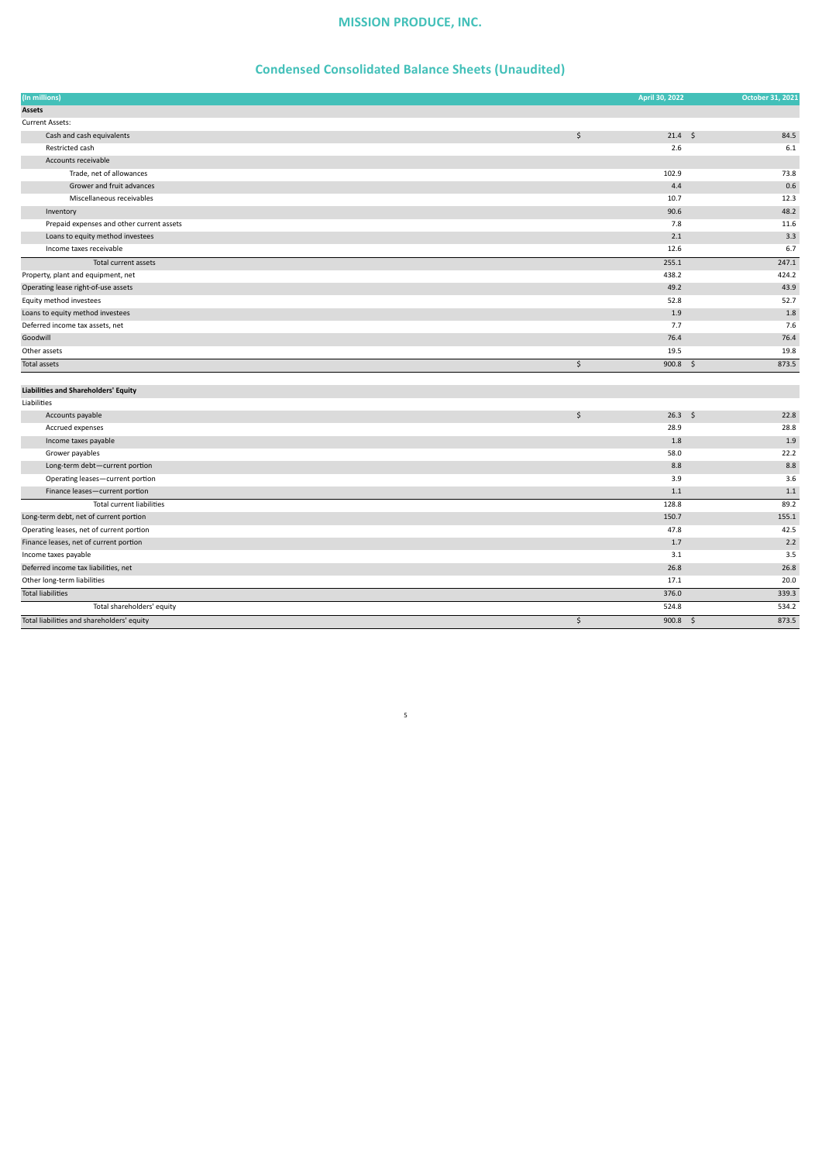# **Condensed Consolidated Balance Sheets (Unaudited)**

| (In millions)                               | April 30, 2022        | October 31, 2021 |
|---------------------------------------------|-----------------------|------------------|
| <b>Assets</b>                               |                       |                  |
| Current Assets:                             |                       |                  |
| Cash and cash equivalents                   | \$<br>$21.4 \quad $5$ | 84.5             |
| Restricted cash                             | 2.6                   | 6.1              |
| Accounts receivable                         |                       |                  |
| Trade, net of allowances                    | 102.9                 | 73.8             |
| Grower and fruit advances                   | 4.4                   | 0.6              |
| Miscellaneous receivables                   | 10.7                  | 12.3             |
| Inventory                                   | 90.6                  | 48.2             |
| Prepaid expenses and other current assets   | 7.8                   | 11.6             |
| Loans to equity method investees            | 2.1                   | 3.3              |
| Income taxes receivable                     | 12.6                  | 6.7              |
| Total current assets                        | 255.1                 | 247.1            |
| Property, plant and equipment, net          | 438.2                 | 424.2            |
| Operating lease right-of-use assets         | 49.2                  | 43.9             |
| Equity method investees                     | 52.8                  | 52.7             |
| Loans to equity method investees            | 1.9                   | 1.8              |
| Deferred income tax assets, net             | 7.7                   | 7.6              |
| Goodwill                                    | 76.4                  | 76.4             |
| Other assets                                | 19.5                  | 19.8             |
| <b>Total assets</b>                         | \$<br>$900.8$ \$      | 873.5            |
|                                             |                       |                  |
| <b>Liabilities and Shareholders' Equity</b> |                       |                  |
| Liabilities                                 |                       |                  |
| Accounts payable                            | \$<br>$26.3$ \$       | 22.8             |
| Accrued expenses                            | 28.9                  | 28.8             |
| Income taxes payable                        | 1.8                   | 1.9              |

| , teel aca chperises                       | ---        | $\sim$ |
|--------------------------------------------|------------|--------|
| Income taxes payable                       | 1.8        | 1.9    |
| Grower payables                            | 58.0       | 22.2   |
| Long-term debt-current portion             | 8.8        | 8.8    |
| Operating leases-current portion           | 3.9        | 3.6    |
| Finance leases-current portion             | 1.1        | 1.1    |
| <b>Total current liabilities</b>           | 128.8      | 89.2   |
| Long-term debt, net of current portion     | 150.7      | 155.1  |
| Operating leases, net of current portion   | 47.8       | 42.5   |
| Finance leases, net of current portion     | 1.7        | 2.2    |
| Income taxes payable                       | 3.1        | 3.5    |
| Deferred income tax liabilities, net       | 26.8       | 26.8   |
| Other long-term liabilities                | 17.1       | 20.0   |
| <b>Total liabilities</b>                   | 376.0      | 339.3  |
| Total shareholders' equity                 | 524.8      | 534.2  |
| Total liabilities and shareholders' equity | $900.8$ \$ | 873.5  |
|                                            |            |        |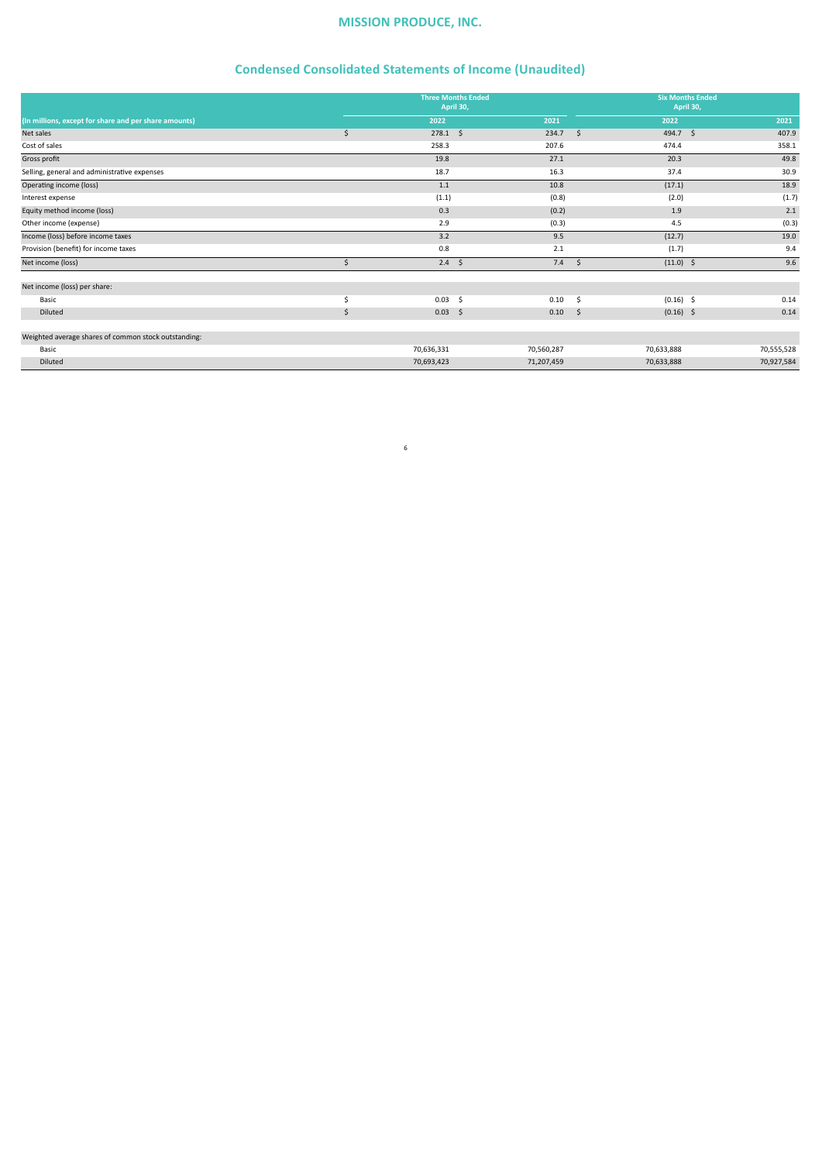# **Condensed Consolidated Statements of Income (Unaudited)**

|                                                       | <b>Three Months Ended</b><br>April 30, |            | <b>Six Months Ended</b><br>April 30, |            |
|-------------------------------------------------------|----------------------------------------|------------|--------------------------------------|------------|
| (In millions, except for share and per share amounts) | 2022                                   | 2021       | 2022                                 | 2021       |
| Net sales                                             | \$<br>$278.1 \quad $$                  | 234.7      | $\mathsf{\hat{S}}$<br>494.7 \$       | 407.9      |
| Cost of sales                                         | 258.3                                  | 207.6      | 474.4                                | 358.1      |
| Gross profit                                          | 19.8                                   | 27.1       | 20.3                                 | 49.8       |
| Selling, general and administrative expenses          | 18.7                                   | 16.3       | 37.4                                 | 30.9       |
| Operating income (loss)                               | 1.1                                    | 10.8       | (17.1)                               | 18.9       |
| Interest expense                                      | (1.1)                                  | (0.8)      | (2.0)                                | (1.7)      |
| Equity method income (loss)                           | 0.3                                    | (0.2)      | 1.9                                  | 2.1        |
| Other income (expense)                                | 2.9                                    | (0.3)      | 4.5                                  | (0.3)      |
| Income (loss) before income taxes                     | 3.2                                    | 9.5        | (12.7)                               | 19.0       |
| Provision (benefit) for income taxes                  | 0.8                                    | 2.1        | (1.7)                                | 9.4        |
| Net income (loss)                                     | \$<br>$2.4 \quad$                      | 7.4        | $(11.0)$ \$<br>\$                    | 9.6        |
| Net income (loss) per share:                          |                                        |            |                                      |            |
| Basic                                                 | \$<br>0.03<br>- \$                     | 0.10       | $(0.16)$ \$<br>- \$                  | 0.14       |
| Diluted                                               | \$<br>0.03<br>$\ddot{\mathsf{s}}$      | 0.10       | $(0.16)$ \$<br>$\sim$                | 0.14       |
| Weighted average shares of common stock outstanding:  |                                        |            |                                      |            |
| Basic                                                 | 70,636,331                             | 70,560,287 | 70,633,888                           | 70,555,528 |
| Diluted                                               | 70,693,423                             | 71,207,459 | 70,633,888                           | 70,927,584 |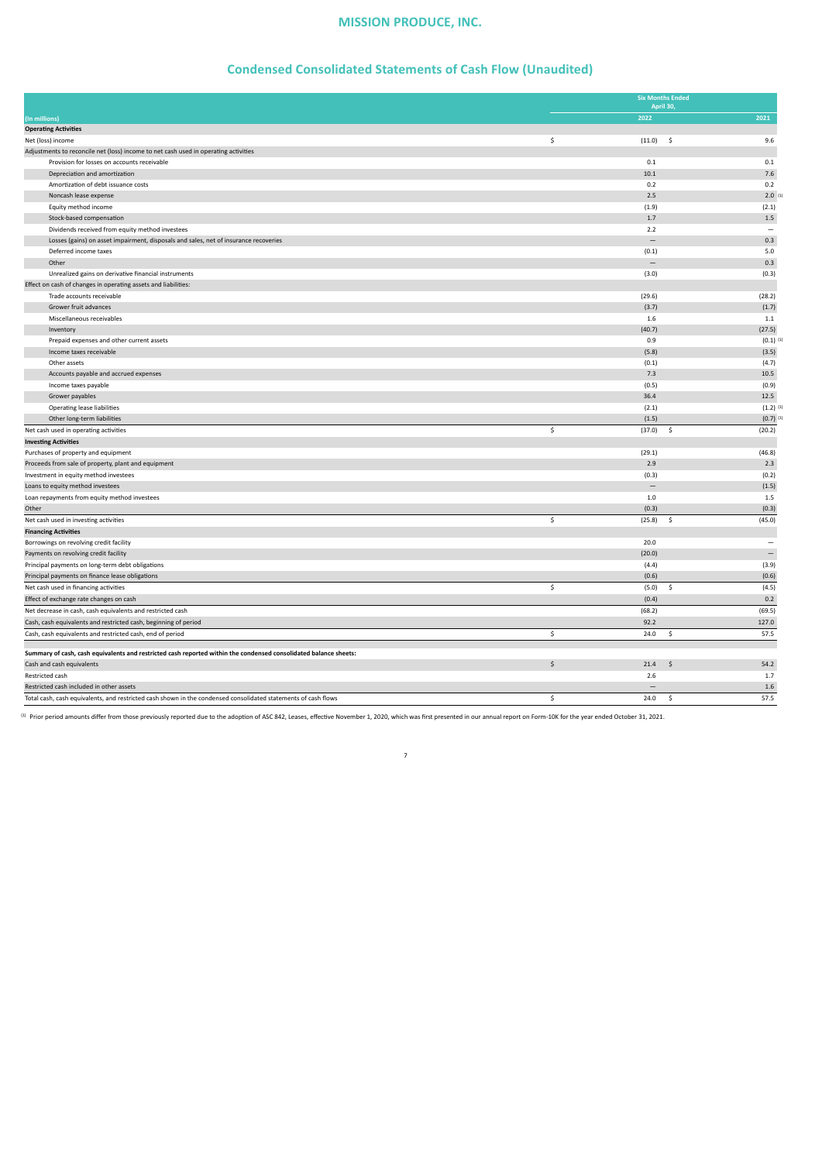### **Condensed Consolidated Statements of Cash Flow (Unaudited)**

|                                                                                                                  |    | <b>Six Months Ended</b><br>April 30, |              |                          |
|------------------------------------------------------------------------------------------------------------------|----|--------------------------------------|--------------|--------------------------|
| (In millions)                                                                                                    |    | 2022                                 |              | 2021                     |
| <b>Operating Activities</b>                                                                                      |    |                                      |              |                          |
| Net (loss) income                                                                                                | \$ | (11.0)                               | $\mathsf{S}$ | 9.6                      |
| Adjustments to reconcile net (loss) income to net cash used in operating activities                              |    |                                      |              |                          |
| Provision for losses on accounts receivable                                                                      |    | 0.1                                  |              | 0.1                      |
| Depreciation and amortization                                                                                    |    | 10.1                                 |              | 7.6                      |
| Amortization of debt issuance costs                                                                              |    | 0.2                                  |              | 0.2                      |
| Noncash lease expense                                                                                            |    | 2.5                                  |              | $2.0$ <sup>(1</sup> )    |
| Equity method income                                                                                             |    | (1.9)                                |              | (2.1)                    |
| Stock-based compensation                                                                                         |    | 1.7                                  |              | $1.5\,$                  |
| Dividends received from equity method investees                                                                  |    | 2.2                                  |              | $\overline{\phantom{0}}$ |
| Losses (gains) on asset impairment, disposals and sales, net of insurance recoveries                             |    | $\overline{\phantom{0}}$             |              | 0.3                      |
| Deferred income taxes                                                                                            |    | (0.1)                                |              | 5.0                      |
| Other                                                                                                            |    | $\qquad \qquad -$                    |              | 0.3                      |
| Unrealized gains on derivative financial instruments                                                             |    | (3.0)                                |              | (0.3)                    |
| Effect on cash of changes in operating assets and liabilities:                                                   |    |                                      |              |                          |
| Trade accounts receivable                                                                                        |    | (29.6)                               |              | (28.2)                   |
| Grower fruit advances                                                                                            |    | (3.7)                                |              | (1.7)                    |
| Miscellaneous receivables                                                                                        |    | 1.6                                  |              | $1.1\,$                  |
| Inventory                                                                                                        |    | (40.7)                               |              | (27.5)                   |
| Prepaid expenses and other current assets                                                                        |    | 0.9                                  |              | $(0.1)$ <sup>(1)</sup>   |
| Income taxes receivable                                                                                          |    | (5.8)                                |              | (3.5)                    |
| Other assets                                                                                                     |    | (0.1)                                |              | (4.7)                    |
| Accounts payable and accrued expenses                                                                            |    | 7.3                                  |              | 10.5                     |
| Income taxes payable                                                                                             |    | (0.5)                                |              | (0.9)                    |
| Grower payables                                                                                                  |    | 36.4                                 |              | 12.5                     |
| <b>Operating lease liabilities</b>                                                                               |    | (2.1)                                |              | $(1.2)$ <sup>(1)</sup>   |
| Other long-term liabilities                                                                                      |    | (1.5)                                |              | $(0.7)$ <sup>(1)</sup>   |
| Net cash used in operating activities                                                                            | Ś  | (37.0)                               | \$           | (20.2)                   |
| <b>Investing Activities</b>                                                                                      |    |                                      |              |                          |
| Purchases of property and equipment                                                                              |    | (29.1)                               |              | (46.8)                   |
| Proceeds from sale of property, plant and equipment                                                              |    | 2.9                                  |              | 2.3                      |
| Investment in equity method investees                                                                            |    | (0.3)                                |              | (0.2)                    |
| Loans to equity method investees                                                                                 |    | $\overline{\phantom{0}}$             |              | (1.5)                    |
| Loan repayments from equity method investees                                                                     |    | 1.0                                  |              | 1.5                      |
| Other                                                                                                            |    | (0.3)                                |              | (0.3)                    |
| Net cash used in investing activities                                                                            | \$ | (25.8)                               | \$           | (45.0)                   |
| <b>Financing Activities</b>                                                                                      |    |                                      |              |                          |
| Borrowings on revolving credit facility                                                                          |    | 20.0                                 |              | $\overline{\phantom{0}}$ |
| Payments on revolving credit facility                                                                            |    | (20.0)                               |              | $\overline{\phantom{0}}$ |
| Principal payments on long-term debt obligations                                                                 |    | (4.4)                                |              | (3.9)                    |
| Principal payments on finance lease obligations                                                                  |    | (0.6)                                |              | (0.6)                    |
| Net cash used in financing activities                                                                            | Ś  | (5.0)                                | \$           | (4.5)                    |
| Effect of exchange rate changes on cash                                                                          |    | (0.4)                                |              | 0.2                      |
| Net decrease in cash, cash equivalents and restricted cash                                                       |    | (68.2)                               |              | (69.5)                   |
| Cash, cash equivalents and restricted cash, beginning of period                                                  |    | 92.2                                 |              | 127.0                    |
| Cash, cash equivalents and restricted cash, end of period                                                        | \$ | 24.0                                 | \$           | 57.5                     |
|                                                                                                                  |    |                                      |              |                          |
| Summary of cash, cash equivalents and restricted cash reported within the condensed consolidated balance sheets: |    |                                      |              |                          |
| Cash and cash equivalents                                                                                        | \$ | 21.4                                 | Ŝ            | 54.2                     |
| Restricted cash                                                                                                  |    | 2.6                                  |              | 1.7                      |
| Restricted cash included in other assets                                                                         |    |                                      |              | 1.6                      |
| Total cash, cash equivalents, and restricted cash shown in the condensed consolidated statements of cash flows   | \$ | 24.0                                 | \$           | 57.5                     |

(1) Prior period amounts differ from those previously reported due to the adoption of ASC 842, Leases, effective November 1, 2020, which was first presented in our annual report on Form-10K for the year ended October 31, 2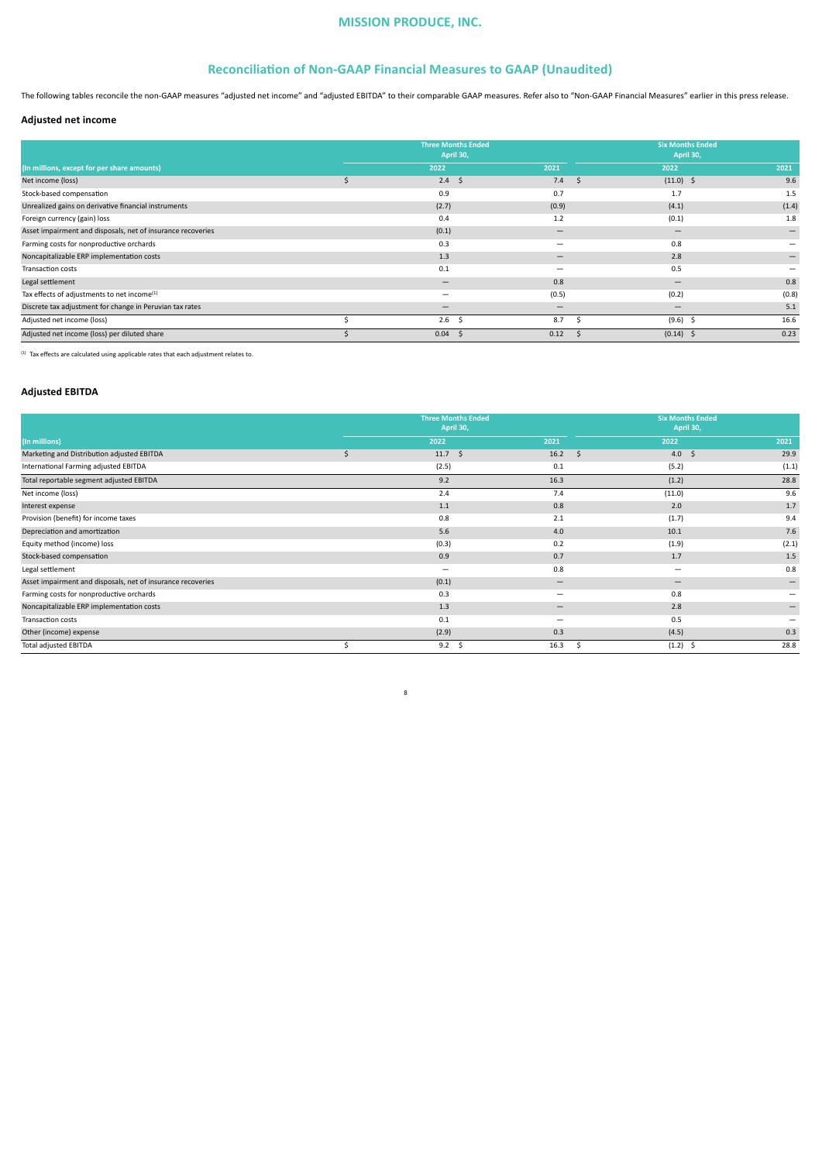### **Reconciliation of Non-GAAP Financial Measures to GAAP (Unaudited)**

The following tables reconcile the non-GAAP measures "adjusted net income" and "adjusted EBITDA" to their comparable GAAP measures. Refer also to "Non-GAAP Financial Measures" earlier in this press release.

### **Adjusted net income**

|                                                             | <b>Three Months Ended</b><br>April 30, |                              | <b>Six Months Ended</b><br>April 30, |                   |  |
|-------------------------------------------------------------|----------------------------------------|------------------------------|--------------------------------------|-------------------|--|
| (In millions, except for per share amounts)                 | 2022                                   | 2021                         | 2022                                 | 2021              |  |
| Net income (loss)                                           | Ŝ.<br>2.4                              | 7.4<br>\$                    | $(11.0)$ \$                          | 9.6               |  |
| Stock-based compensation                                    | 0.9                                    | 0.7                          | 1.7                                  | 1.5               |  |
| Unrealized gains on derivative financial instruments        | (2.7)                                  | (0.9)                        | (4.1)                                | (1.4)             |  |
| Foreign currency (gain) loss                                | 0.4                                    | 1.2                          | (0.1)                                | 1.8               |  |
| Asset impairment and disposals, net of insurance recoveries | (0.1)                                  |                              |                                      | $\qquad \qquad -$ |  |
| Farming costs for nonproductive orchards                    | 0.3                                    | -                            | 0.8                                  |                   |  |
| Noncapitalizable ERP implementation costs                   | 1.3                                    | $\qquad \qquad \blacksquare$ | 2.8                                  |                   |  |
| Transaction costs                                           | 0.1                                    | -                            | 0.5                                  |                   |  |
| Legal settlement                                            | $\overline{\phantom{0}}$               | 0.8                          | $\overline{\phantom{0}}$             | 0.8               |  |
| Tax effects of adjustments to net income <sup>(1)</sup>     | -                                      | (0.5)                        | (0.2)                                | (0.8)             |  |
| Discrete tax adjustment for change in Peruvian tax rates    | $\overline{\phantom{0}}$               | $\overline{\phantom{0}}$     |                                      | 5.1               |  |
| Adjusted net income (loss)                                  | 2.6                                    | 8.7                          | $(9.6)$ \$                           | 16.6              |  |
| Adjusted net income (loss) per diluted share                | 0.04                                   | 0.12                         | (0.14)<br>-5                         | 0.23              |  |

(1) Tax effects are calculated using applicable rates that each adjustment relates to.

### **Adjusted EBITDA**

|                                                             | April 30,                | <b>Three Months Ended</b>      |                          | <b>Six Months Ended</b><br>April 30, |
|-------------------------------------------------------------|--------------------------|--------------------------------|--------------------------|--------------------------------------|
| (In millions)                                               | 2022                     | 2021                           | 2022                     | 2021                                 |
| Marketing and Distribution adjusted EBITDA                  | \$<br>$11.7 \quad$ \$    | 16.2                           | $\zeta$                  | 4.0 $\frac{1}{2}$<br>29.9            |
| International Farming adjusted EBITDA                       | (2.5)                    | 0.1                            | (5.2)                    | (1.1)                                |
| Total reportable segment adjusted EBITDA                    | 9.2                      | 16.3                           | (1.2)                    | 28.8                                 |
| Net income (loss)                                           | 2.4                      | 7.4                            | (11.0)                   | 9.6                                  |
| Interest expense                                            | 1.1                      | 0.8                            | 2.0                      | 1.7                                  |
| Provision (benefit) for income taxes                        | 0.8                      | 2.1                            | (1.7)                    | 9.4                                  |
| Depreciation and amortization                               | 5.6                      | 4.0                            | 10.1                     | 7.6                                  |
| Equity method (income) loss                                 | (0.3)                    | 0.2                            | (1.9)                    | (2.1)                                |
| Stock-based compensation                                    | 0.9                      | 0.7                            | 1.7                      | 1.5                                  |
| Legal settlement                                            | $\overline{\phantom{0}}$ | 0.8                            | -                        | 0.8                                  |
| Asset impairment and disposals, net of insurance recoveries | (0.1)                    | $\qquad \qquad -$              | $\overline{\phantom{0}}$ | $\overline{\phantom{m}}$             |
| Farming costs for nonproductive orchards                    | 0.3                      | $\qquad \qquad \longleftarrow$ | 0.8                      |                                      |
| Noncapitalizable ERP implementation costs                   | 1.3                      | $\qquad \qquad \blacksquare$   | 2.8                      |                                      |
| Transaction costs                                           | 0.1                      | $\overline{\phantom{0}}$       | 0.5                      |                                      |
| Other (income) expense                                      | (2.9)                    | 0.3                            | (4.5)                    | 0.3                                  |
| Total adjusted EBITDA                                       | 9.2 <sup>5</sup>         | 16.3                           | $(1.2)$ \$<br>Ŝ.         | 28.8                                 |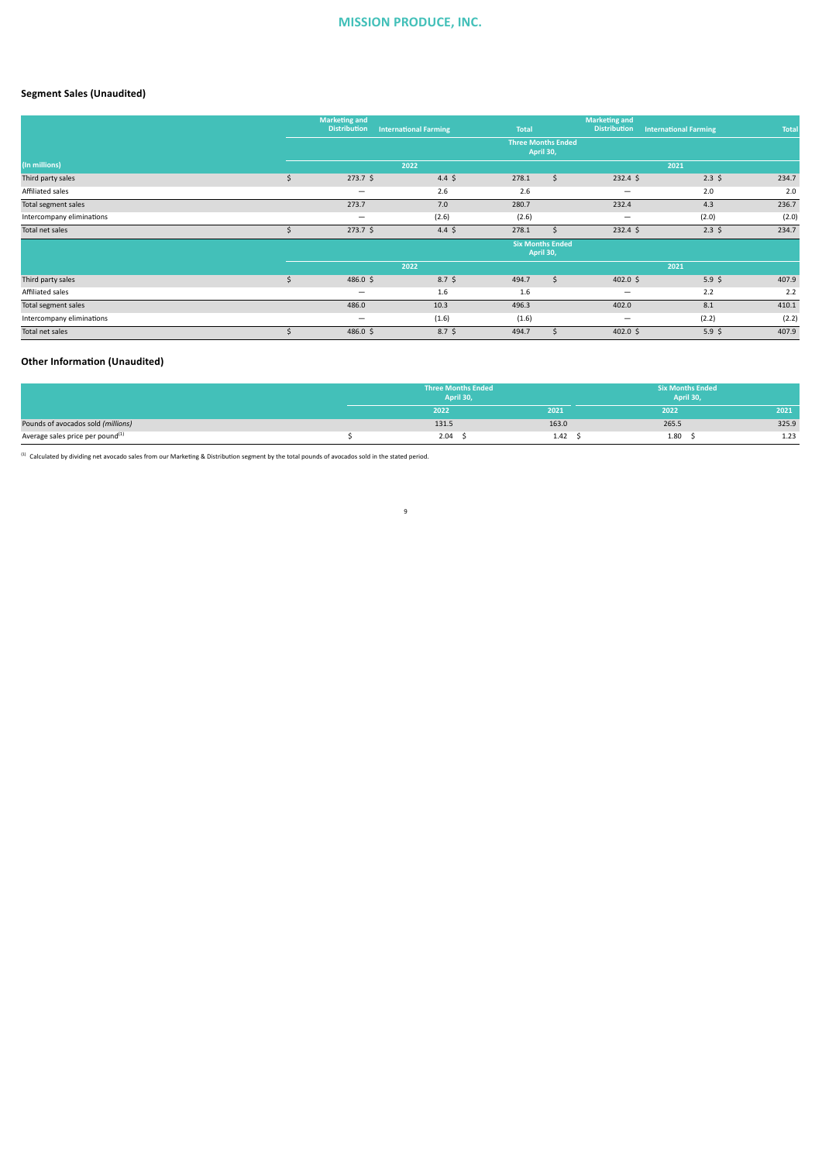### **Segment Sales (Unaudited)**

|                           | <b>Marketing and</b><br><b>Distribution</b> | <b>International Farming</b> | <b>Total</b>              |                                      | <b>Marketing and</b><br><b>Distribution</b> | <b>International Farming</b> | <b>Total</b> |
|---------------------------|---------------------------------------------|------------------------------|---------------------------|--------------------------------------|---------------------------------------------|------------------------------|--------------|
|                           |                                             |                              | <b>Three Months Ended</b> | April 30,                            |                                             |                              |              |
| (In millions)             |                                             | 2022                         |                           |                                      |                                             | 2021                         |              |
| Third party sales         | $273.7$ \$<br>\$                            | $4.4\;$ \$                   | 278.1                     | \$                                   | $232.4$ \$                                  | $2.3\;$ \$                   | 234.7        |
| Affiliated sales          | $\overline{\phantom{m}}$                    | 2.6                          | 2.6                       |                                      | $\qquad \qquad \blacksquare$                | 2.0                          | 2.0          |
| Total segment sales       | 273.7                                       | 7.0                          | 280.7                     |                                      | 232.4                                       | 4.3                          | 236.7        |
| Intercompany eliminations | $\overline{\phantom{m}}$                    | (2.6)                        | (2.6)                     |                                      | $\overline{\phantom{m}}$                    | (2.0)                        | (2.0)        |
| Total net sales           | $273.7$ \$                                  | $4.4\;$ \$                   | 278.1                     |                                      | $232.4$ \$                                  | $2.3\;$ \$                   | 234.7        |
|                           |                                             |                              |                           | <b>Six Months Ended</b><br>April 30, |                                             |                              |              |
|                           |                                             | 2022                         |                           |                                      |                                             | 2021                         |              |
| Third party sales         | \$<br>$486.0$ \$                            | $8.7\;$ \$                   | 494.7                     | \$                                   | 402.0 \$                                    | 5.9 <sup>5</sup>             | 407.9        |
| Affiliated sales          | $\overline{\phantom{m}}$                    | 1.6                          | 1.6                       |                                      | $\qquad \qquad \blacksquare$                | 2.2                          | 2.2          |
| Total segment sales       | 486.0                                       | 10.3                         | 496.3                     |                                      | 402.0                                       | 8.1                          | 410.1        |
| Intercompany eliminations | -                                           | (1.6)                        | (1.6)                     |                                      | $\overline{\phantom{0}}$                    | (2.2)                        | (2.2)        |
| Total net sales           | 486.0 \$                                    | $8.7\;$ \$                   | 494.7                     |                                      | $402.0$ \$                                  | 5.9 <sup>5</sup>             | 407.9        |

### **Other Information (Unaudited)**

|                                              | <b>Three Months Ended</b><br>April 30, |       |       | <b>Six Months Ended</b><br>April 30, |       |
|----------------------------------------------|----------------------------------------|-------|-------|--------------------------------------|-------|
|                                              |                                        | 2022  | 2021  | 2022                                 | 2021  |
| Pounds of avocados sold (millions)           |                                        | 131.5 | 163.0 | 265.5                                | 325.9 |
| Average sales price per pound <sup>(1)</sup> |                                        | 2.04  | 1.42  | 1.80                                 | 1.23  |

9

 $<sup>(1)</sup>$  Calculated by dividing net avocado sales from our Marketing & Distribution segment by the total pounds of avocados sold in the stated period.</sup>